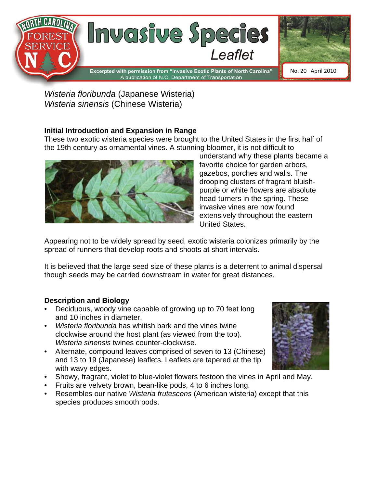

*Wisteria floribunda* (Japanese Wisteria) *Wisteria sinensis* (Chinese Wisteria)

# **Initial Introduction and Expansion in Range**

These two exotic wisteria species were brought to the United States in the first half of the 19th century as ornamental vines. A stunning bloomer, it is not difficult to



understand why these plants became a favorite choice for garden arbors, gazebos, porches and walls. The drooping clusters of fragrant bluishpurple or white flowers are absolute head-turners in the spring. These invasive vines are now found extensively throughout the eastern United States.

Appearing not to be widely spread by seed, exotic wisteria colonizes primarily by the spread of runners that develop roots and shoots at short intervals.

It is believed that the large seed size of these plants is a deterrent to animal dispersal though seeds may be carried downstream in water for great distances.

# **Description and Biology**

- Deciduous, woody vine capable of growing up to 70 feet long and 10 inches in diameter.
- *Wisteria floribunda* has whitish bark and the vines twine clockwise around the host plant (as viewed from the top). *Wisteria sinensis* twines counter-clockwise.
- Alternate, compound leaves comprised of seven to 13 (Chinese) and 13 to 19 (Japanese) leaflets. Leaflets are tapered at the tip with wavy edges.
- Showy, fragrant, violet to blue-violet flowers festoon the vines in April and May.
- Fruits are velvety brown, bean-like pods, 4 to 6 inches long.
- Resembles our native *Wisteria frutescens* (American wisteria) except that this species produces smooth pods.